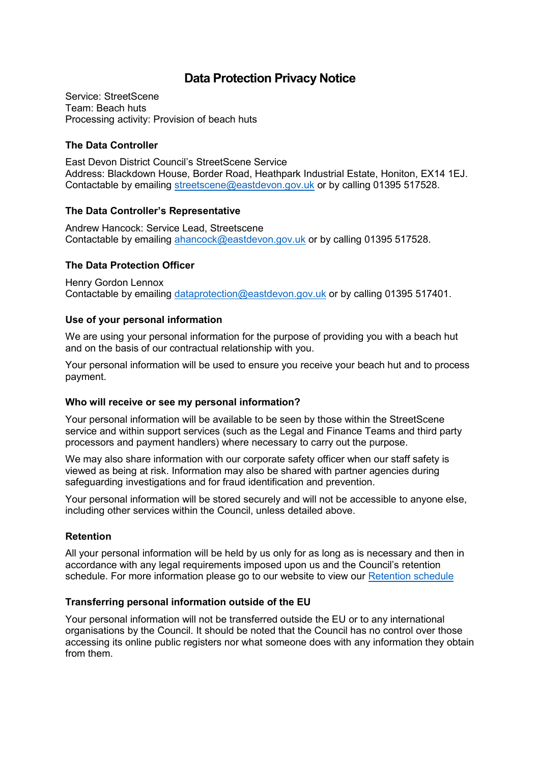# **Data Protection Privacy Notice**

Service: StreetScene Team: Beach huts Processing activity: Provision of beach huts

# **The Data Controller**

East Devon District Council's StreetScene Service Address: Blackdown House, Border Road, Heathpark Industrial Estate, Honiton, EX14 1EJ. Contactable by emailing [streetscene@eastdevon.gov.uk](mailto:streetscene@eastdevon.gov.uk) or by calling 01395 517528.

### **The Data Controller's Representative**

Andrew Hancock: Service Lead, Streetscene Contactable by emailing [ahancock@eastdevon.gov.uk](mailto:ahancock@eastdevon.gov.uk) or by calling 01395 517528.

# **The Data Protection Officer**

Henry Gordon Lennox Contactable by emailing [dataprotection@eastdevon.gov.uk](mailto:dataprotection@eastdevon.gov.uk) or by calling 01395 517401.

# **Use of your personal information**

We are using your personal information for the purpose of providing you with a beach hut and on the basis of our contractual relationship with you.

Your personal information will be used to ensure you receive your beach hut and to process payment.

### **Who will receive or see my personal information?**

Your personal information will be available to be seen by those within the StreetScene service and within support services (such as the Legal and Finance Teams and third party processors and payment handlers) where necessary to carry out the purpose.

We may also share information with our corporate safety officer when our staff safety is viewed as being at risk. Information may also be shared with partner agencies during safeguarding investigations and for fraud identification and prevention.

Your personal information will be stored securely and will not be accessible to anyone else, including other services within the Council, unless detailed above.

### **Retention**

All your personal information will be held by us only for as long as is necessary and then in accordance with any legal requirements imposed upon us and the Council's retention schedule. For more information please go to our website to view our [Retention schedule](http://eastdevon.gov.uk/access-to-information/data-protection/document-retention-schedules/)

### **Transferring personal information outside of the EU**

Your personal information will not be transferred outside the EU or to any international organisations by the Council. It should be noted that the Council has no control over those accessing its online public registers nor what someone does with any information they obtain from them.